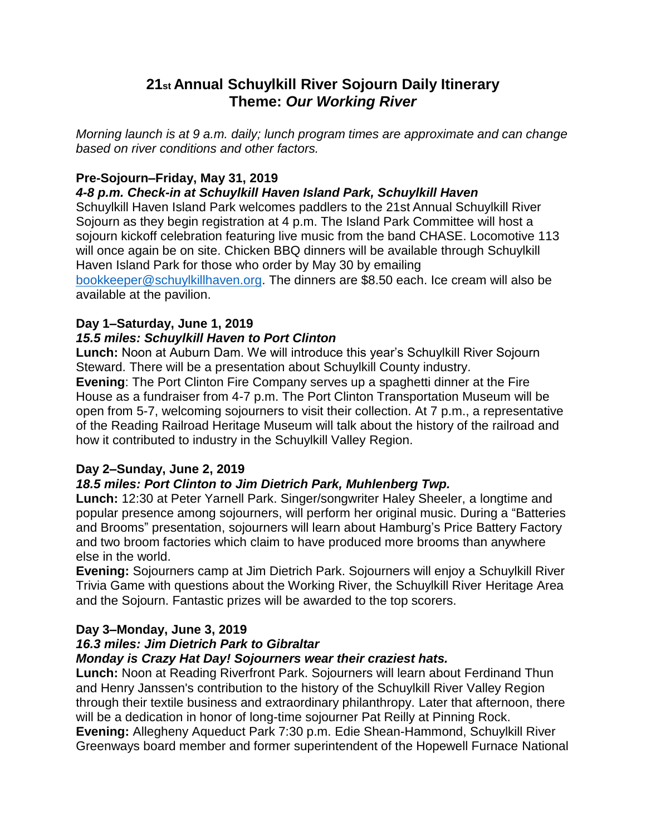## **21st Annual Schuylkill River Sojourn Daily Itinerary Theme:** *Our Working River*

*Morning launch is at 9 a.m. daily; lunch program times are approximate and can change based on river conditions and other factors.*

## **Pre-Sojourn–Friday, May 31, 2019**

### *4-8 p.m. Check-in at Schuylkill Haven Island Park, Schuylkill Haven*

Schuylkill Haven Island Park welcomes paddlers to the 21st Annual Schuylkill River Sojourn as they begin registration at 4 p.m. The Island Park Committee will host a sojourn kickoff celebration featuring live music from the band CHASE. Locomotive 113 will once again be on site. Chicken BBQ dinners will be available through Schuylkill Haven Island Park for those who order by May 30 by emailing [bookkeeper@schuylkillhaven.org.](mailto:bookkeeper@schuylkillhaven.org) The dinners are \$8.50 each. Ice cream will also be available at the pavilion.

### **Day 1–Saturday, June 1, 2019**

### *15.5 miles: Schuylkill Haven to Port Clinton*

**Lunch:** Noon at Auburn Dam. We will introduce this year's Schuylkill River Sojourn Steward. There will be a presentation about Schuylkill County industry.

**Evening**: The Port Clinton Fire Company serves up a spaghetti dinner at the Fire House as a fundraiser from 4-7 p.m. The Port Clinton Transportation Museum will be open from 5-7, welcoming sojourners to visit their collection. At 7 p.m., a representative of the Reading Railroad Heritage Museum will talk about the history of the railroad and how it contributed to industry in the Schuylkill Valley Region.

### **Day 2–Sunday, June 2, 2019**

## *18.5 miles: Port Clinton to Jim Dietrich Park, Muhlenberg Twp.*

**Lunch:** 12:30 at Peter Yarnell Park. Singer/songwriter Haley Sheeler, a longtime and popular presence among sojourners, will perform her original music. During a "Batteries and Brooms" presentation, sojourners will learn about Hamburg's Price Battery Factory and two broom factories which claim to have produced more brooms than anywhere else in the world.

**Evening:** Sojourners camp at Jim Dietrich Park. Sojourners will enjoy a Schuylkill River Trivia Game with questions about the Working River, the Schuylkill River Heritage Area and the Sojourn. Fantastic prizes will be awarded to the top scorers.

## **Day 3–Monday, June 3, 2019**

## *16.3 miles: Jim Dietrich Park to Gibraltar*

### *Monday is Crazy Hat Day! Sojourners wear their craziest hats.*

**Lunch:** Noon at Reading Riverfront Park. Sojourners will learn about Ferdinand Thun and Henry Janssen's contribution to the history of the Schuylkill River Valley Region through their textile business and extraordinary philanthropy. Later that afternoon, there will be a dedication in honor of long-time sojourner Pat Reilly at Pinning Rock.

**Evening:** Allegheny Aqueduct Park 7:30 p.m. Edie Shean-Hammond, Schuylkill River Greenways board member and former superintendent of the Hopewell Furnace National